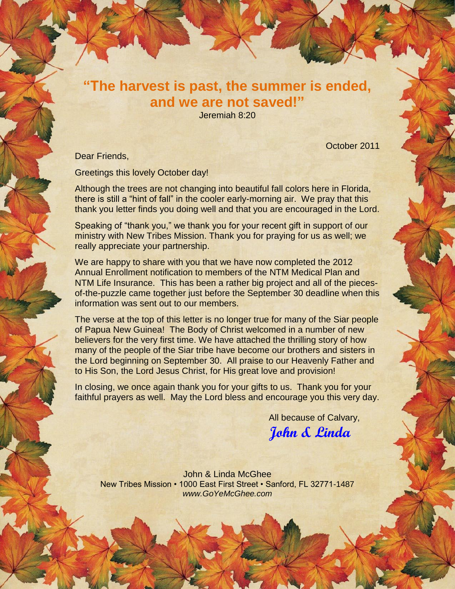## **"The harvest is past, the summer is ended, and we are not saved!"**

Jeremiah 8:20

October 2011

Dear Friends,

Greetings this lovely October day!

Although the trees are not changing into beautiful fall colors here in Florida, there is still a "hint of fall" in the cooler early-morning air. We pray that this thank you letter finds you doing well and that you are encouraged in the Lord.

Speaking of "thank you," we thank you for your recent gift in support of our ministry with New Tribes Mission. Thank you for praying for us as well; we really appreciate your partnership.

We are happy to share with you that we have now completed the 2012 Annual Enrollment notification to members of the NTM Medical Plan and NTM Life Insurance. This has been a rather big project and all of the piecesof-the-puzzle came together just before the September 30 deadline when this information was sent out to our members.

The verse at the top of this letter is no longer true for many of the Siar people of Papua New Guinea! The Body of Christ welcomed in a number of new believers for the very first time. We have attached the thrilling story of how many of the people of the Siar tribe have become our brothers and sisters in the Lord beginning on September 30. All praise to our Heavenly Father and to His Son, the Lord Jesus Christ, for His great love and provision!

In closing, we once again thank you for your gifts to us. Thank you for your faithful prayers as well. May the Lord bless and encourage you this very day.

All because of Calvary,

**John & Linda**

John & Linda McGhee New Tribes Mission • 1000 East First Street • Sanford, FL 32771-1487 *www.GoYeMcGhee.com*